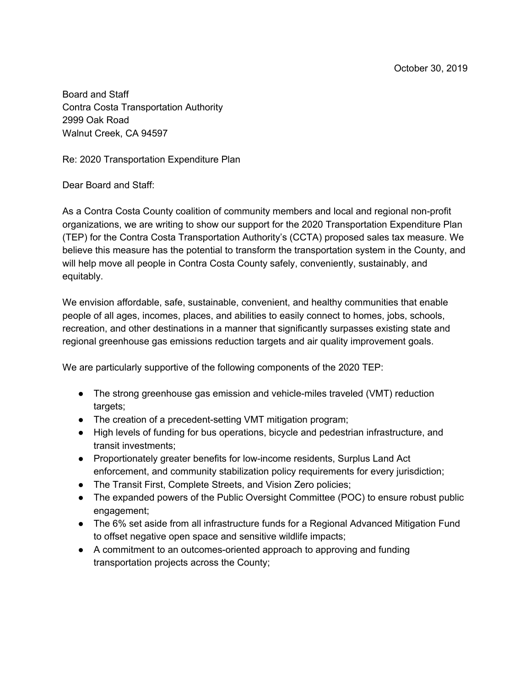Board and Staff Contra Costa Transportation Authority 2999 Oak Road Walnut Creek, CA 94597

Re: 2020 Transportation Expenditure Plan

Dear Board and Staff:

As a Contra Costa County coalition of community members and local and regional non-profit organizations, we are writing to show our support for the 2020 Transportation Expenditure Plan (TEP) for the Contra Costa Transportation Authority's (CCTA) proposed sales tax measure. We believe this measure has the potential to transform the transportation system in the County, and will help move all people in Contra Costa County safely, conveniently, sustainably, and equitably.

We envision affordable, safe, sustainable, convenient, and healthy communities that enable people of all ages, incomes, places, and abilities to easily connect to homes, jobs, schools, recreation, and other destinations in a manner that significantly surpasses existing state and regional greenhouse gas emissions reduction targets and air quality improvement goals.

We are particularly supportive of the following components of the 2020 TEP:

- The strong greenhouse gas emission and vehicle-miles traveled (VMT) reduction targets;
- The creation of a precedent-setting VMT mitigation program;
- High levels of funding for bus operations, bicycle and pedestrian infrastructure, and transit investments;
- Proportionately greater benefits for low-income residents, Surplus Land Act enforcement, and community stabilization policy requirements for every jurisdiction;
- The Transit First, Complete Streets, and Vision Zero policies;
- The expanded powers of the Public Oversight Committee (POC) to ensure robust public engagement;
- The 6% set aside from all infrastructure funds for a Regional Advanced Mitigation Fund to offset negative open space and sensitive wildlife impacts;
- A commitment to an outcomes-oriented approach to approving and funding transportation projects across the County;